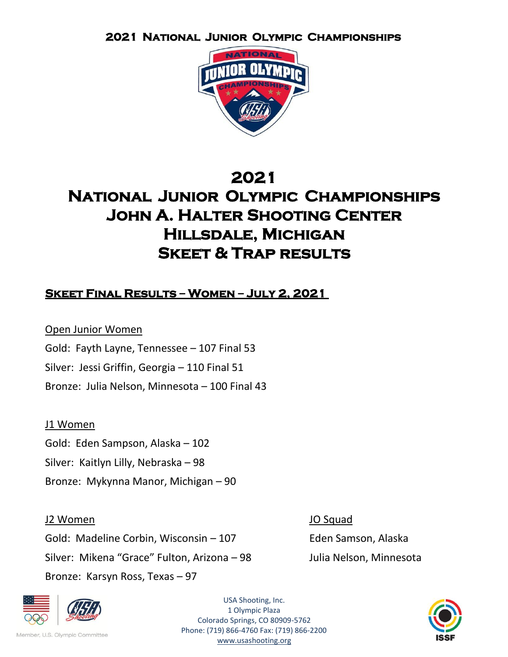

# **2021**

# **National Junior Olympic Championships John A. Halter Shooting Center Hillsdale, Michigan Skeet & Trap results**

# **Skeet Final Results – Women – July 2, 2021**

Open Junior Women Gold: Fayth Layne, Tennessee – 107 Final 53 Silver: Jessi Griffin, Georgia – 110 Final 51 Bronze: Julia Nelson, Minnesota – 100 Final 43

# J1 Women

Gold: Eden Sampson, Alaska – 102 Silver: Kaitlyn Lilly, Nebraska – 98 Bronze: Mykynna Manor, Michigan – 90

J2 Women JO Squad Gold: Madeline Corbin, Wisconsin – 107 Feden Samson, Alaska Silver: Mikena "Grace" Fulton, Arizona – 98 Julia Nelson, Minnesota Bronze: Karsyn Ross, Texas – 97



Member, U.S. Olympic Committee

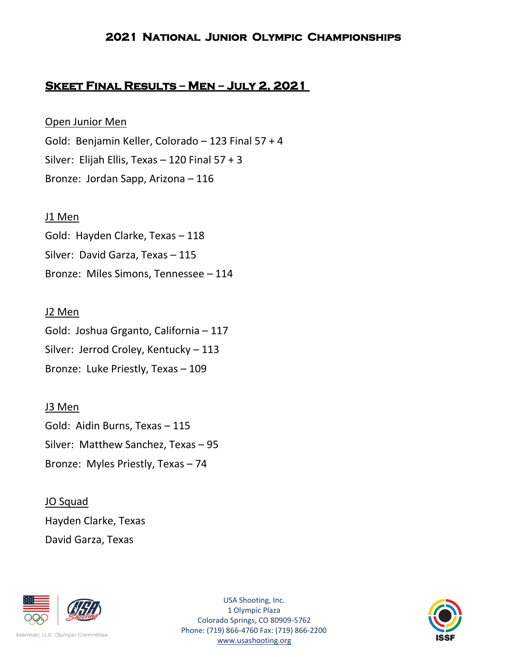# **Skeet Final Results – Men – July 2, 2021**

# Open Junior Men

Gold: Benjamin Keller, Colorado – 123 Final 57 + 4 Silver: Elijah Ellis, Texas – 120 Final 57 + 3 Bronze: Jordan Sapp, Arizona – 116

### J1 Men

Gold: Hayden Clarke, Texas – 118 Silver: David Garza, Texas – 115 Bronze: Miles Simons, Tennessee – 114

### J2 Men

Gold: Joshua Grganto, California – 117 Silver: Jerrod Croley, Kentucky – 113 Bronze: Luke Priestly, Texas – 109

# J3 Men

Gold: Aidin Burns, Texas – 115 Silver: Matthew Sanchez, Texas – 95 Bronze: Myles Priestly, Texas – 74

JO Squad Hayden Clarke, Texas David Garza, Texas



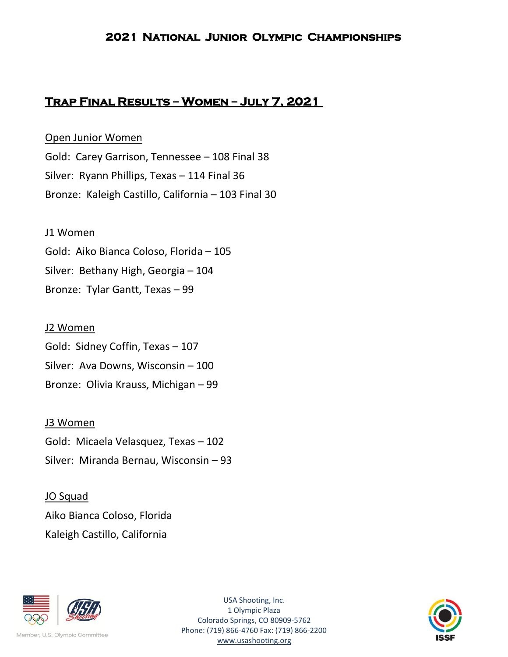# **Trap Final Results – Women – July 7, 2021**

Open Junior Women Gold: Carey Garrison, Tennessee – 108 Final 38 Silver: Ryann Phillips, Texas – 114 Final 36 Bronze: Kaleigh Castillo, California – 103 Final 30

#### J1 Women

Gold: Aiko Bianca Coloso, Florida – 105 Silver: Bethany High, Georgia – 104 Bronze: Tylar Gantt, Texas – 99

#### J2 Women

Gold: Sidney Coffin, Texas – 107 Silver: Ava Downs, Wisconsin – 100 Bronze: Olivia Krauss, Michigan – 99

#### J3 Women

Gold: Micaela Velasquez, Texas – 102 Silver: Miranda Bernau, Wisconsin – 93

# JO Squad Aiko Bianca Coloso, Florida Kaleigh Castillo, California



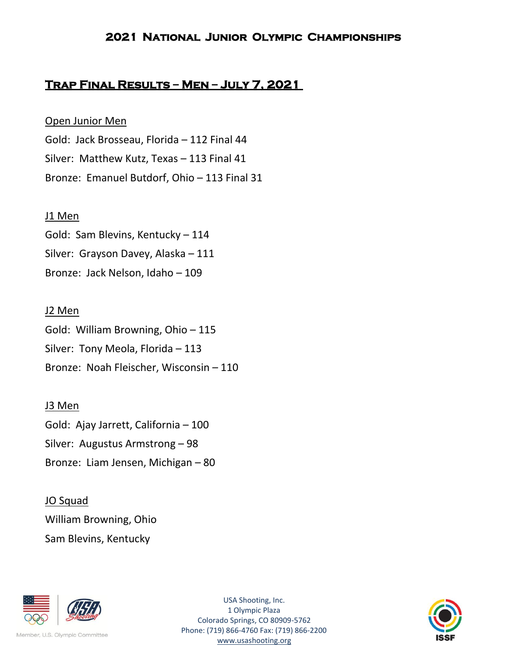# **Trap Final Results – Men – July 7, 2021**

# Open Junior Men

Gold: Jack Brosseau, Florida – 112 Final 44 Silver: Matthew Kutz, Texas – 113 Final 41 Bronze: Emanuel Butdorf, Ohio – 113 Final 31

# J1 Men

Gold: Sam Blevins, Kentucky – 114 Silver: Grayson Davey, Alaska – 111 Bronze: Jack Nelson, Idaho – 109

# J2 Men

Gold: William Browning, Ohio – 115 Silver: Tony Meola, Florida – 113 Bronze: Noah Fleischer, Wisconsin – 110

# J3 Men

Gold: Ajay Jarrett, California – 100 Silver: Augustus Armstrong – 98 Bronze: Liam Jensen, Michigan – 80

JO Squad William Browning, Ohio Sam Blevins, Kentucky